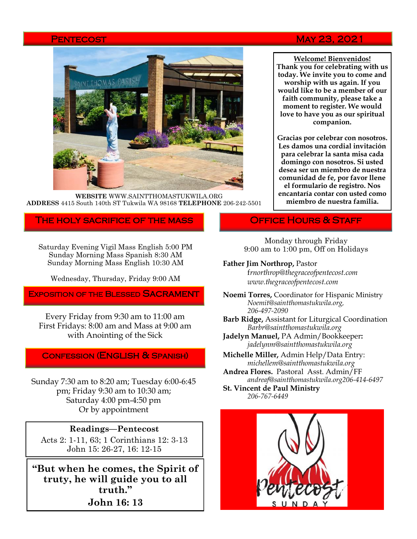

**WEBSITE** WWW.SAINTTHOMASTUKWILA.ORG **ADDRESS** 4415 South 140th ST Tukwila WA 98168 **TELEPHONE** 206-242-5501

#### The holy sacrifice of the mass

Saturday Evening Vigil Mass English 5:00 PM Sunday Morning Mass Spanish 8:30 AM Sunday Morning Mass English 10:30 AM

Wednesday, Thursday, Friday 9:00 AM

EXPOSITION OF THE BLESSED SACRAMENT

Every Friday from 9:30 am to 11:00 am First Fridays: 8:00 am and Mass at 9:00 am with Anointing of the Sick

### Confession (English & Spanish)

Sunday 7:30 am to 8:20 am; Tuesday 6:00-6:45 pm; Friday 9:30 am to 10:30 am; Saturday 4:00 pm-4:50 pm Or by appointment

#### **Readings—Pentecost**

Acts 2: 1-11, 63; 1 Corinthians 12: 3-13 John 15: 26-27, 16: 12-15

**"But when he comes, the Spirit of truty, he will guide you to all truth." John 16: 13**

## Pentecost May 23, 2021

**Welcome! Bienvenidos! Thank you for celebrating with us today. We invite you to come and worship with us again. If you would like to be a member of our faith community, please take a moment to register. We would love to have you as our spiritual companion.** 

**Gracias por celebrar con nosotros. Les damos una cordial invitación para celebrar la santa misa cada domingo con nosotros. Si usted desea ser un miembro de nuestra comunidad de fe, por favor llene el formulario de registro. Nos encantaría contar con usted como miembro de nuestra familia.**

## **OFFICE HOURS & STAFF**

Monday through Friday 9:00 am to 1:00 pm, Off on Holidays

#### **Father Jim Northrop,** Pastor

f*rnorthrop@thegraceofpentecost.com www.thegraceofpentecost.com* 

- **Noemi Torres,** Coordinator for Hispanic Ministry *Noemit@saintthomastukwila.org, 206-497-2090*
- **Barb Ridge,** Assistant for Liturgical Coordination *Barbr@saintthomastukwila.org*
- **Jadelyn Manuel,** PA Admin/Bookkeeper**:**  *jadelynm@saintthomastukwila.org*
- **Michelle Miller,** Admin Help/Data Entry: *michellem@saintthomastukwila.org*
- **Andrea Flores.** Pastoral Asst. Admin/FF *andreaf@saintthomastukwila.org206-414-6497*

**St. Vincent de Paul Ministry** *206-767-6449*

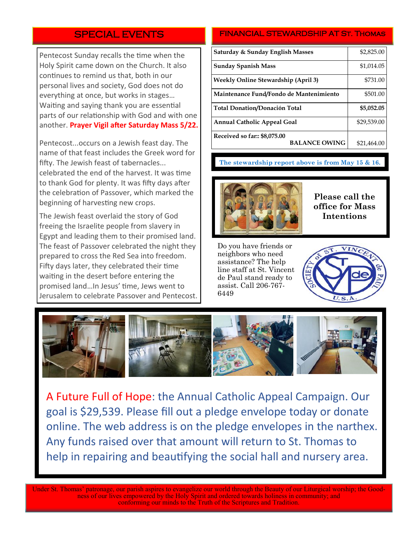# SPECIAL EVENTS

Pentecost Sunday recalls the time when the Holy Spirit came down on the Church. It also continues to remind us that, both in our personal lives and society, God does not do everything at once, but works in stages… Waiting and saying thank you are essential parts of our relationship with God and with one another. **Prayer Vigil after Saturday Mass 5/22.** 

Pentecost...occurs on a Jewish feast day. The name of that feast includes the Greek word for fifty. The Jewish feast of tabernacles... celebrated the end of the harvest. It was time to thank God for plenty. It was fifty days after the celebration of Passover, which marked the beginning of harvesting new crops.

The Jewish feast overlaid the story of God freeing the Israelite people from slavery in Egypt and leading them to their promised land. The feast of Passover celebrated the night they prepared to cross the Red Sea into freedom. Fifty days later, they celebrated their time waiting in the desert before entering the promised land…In Jesus' time, Jews went to Jerusalem to celebrate Passover and Pentecost.

#### FINANCIAL STEWARDSHIP AT ST. THOMAS

| <b>Saturday &amp; Sunday English Masses</b>          | \$2,825.00  |
|------------------------------------------------------|-------------|
| <b>Sunday Spanish Mass</b>                           | \$1,014.05  |
| <b>Weekly Online Stewardship (April 3)</b>           | \$731.00    |
| Maintenance Fund/Fondo de Mantenimiento              | \$501.00    |
| <b>Total Donation/Donación Total</b>                 | \$5,052.05  |
| <b>Annual Catholic Appeal Goal</b>                   | \$29,539.00 |
| Received so far:: \$8,075.00<br><b>BALANCE OWING</b> | \$21,464.00 |

#### **The stewardship report above is from May 15 & 16.**



**Please call the office for Mass Intentions**

Do you have friends or neighbors who need assistance? The help line staff at St. Vincent de Paul stand ready to assist. Call 206-767- 6449





A Future Full of Hope: the Annual Catholic Appeal Campaign. Our goal is \$29,539. Please fill out a pledge envelope today or donate online. The web address is on the pledge envelopes in the narthex. Any funds raised over that amount will return to St. Thomas to help in repairing and beautifying the social hall and nursery area.

Under St. Thomas' patronage, our parish aspires to evangelize our world through the Beauty of our Liturgical worship; the Goodness of our lives empowered by the Holy Spirit and ordered towards holiness in community; and conforming our minds to the Truth of the Scriptures and Tradition.